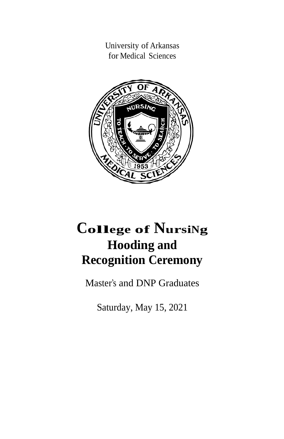University of Arkansas for Medical Sciences



# **<sup>C</sup>ollege of <sup>N</sup>ursiNg Hooding and Recognition Ceremony**

Master's and DNP Graduates

Saturday, May 15, 2021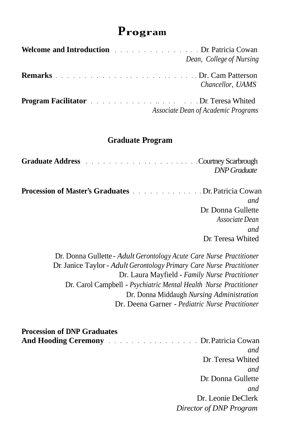# **Program**

| <b>Welcome and Introduction <i>CONDITERRY CONSTRUMER SET OF PATTICIA COWARD</i></b><br>Dean, College of Nursing                                                                                                                                     |
|-----------------------------------------------------------------------------------------------------------------------------------------------------------------------------------------------------------------------------------------------------|
| Chancellor, UAMS                                                                                                                                                                                                                                    |
| <b>Program Facilitator Example 2018 CONSERVING 2018 CONSERVING 2019 CONSERVING 2019 CONSERVING 2019 CONSERVING 2019 CONSERVING 2019 CONSERVING 2019 CONSERVING 2019 CONSERVING 2019 CONSERVING 2019 CONS</b><br>Associate Dean of Academic Programs |

# **Graduate Program**

| <b>Graduate Address <i>Courtney Scarbrough</i></b>                             | <b>DNP</b> Graduate |
|--------------------------------------------------------------------------------|---------------------|
| <b>Procession of Master's Graduates Example 20 Contract Dr. Patricia Cowan</b> |                     |
|                                                                                | and                 |
|                                                                                | Dr. Donna Gullette  |
|                                                                                | Associate Dean      |

 Dr. Donna Gullette - *Adult Gerontology Acute Care Nurse Practitioner* Dr. Janice Taylor- *Adult Gerontology Primary Care Nurse Practitioner* Dr. Laura Mayfield - *Family Nurse Practitioner* Dr. Carol Campbell - *Psychiatric Mental Health Nurse Practitioner* Dr. Donna Middaugh *Nursing Administration* Dr. Deena Garner - *Pediatric Nurse Practitioner*

*and* 

Dr. Teresa Whited

| <b>Procession of DNP Graduates</b>                                             |                         |
|--------------------------------------------------------------------------------|-------------------------|
| <b>And Hooding Ceremony Example 2018</b> 11 <b>Contract Dr. Patricia Cowan</b> |                         |
|                                                                                | and                     |
|                                                                                | Dr. Teresa Whited       |
|                                                                                | and                     |
|                                                                                | Dr. Donna Gullette      |
|                                                                                | and                     |
|                                                                                | Dr. Leonie DeClerk      |
|                                                                                | Director of DNP Program |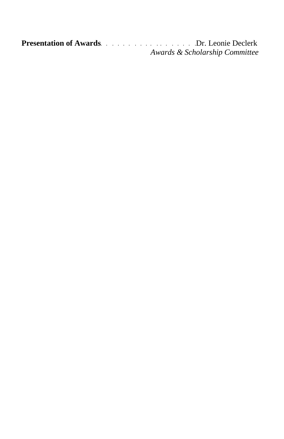**Presentation of Awards**. . . . . . . . . . . . . . . . . .Dr. Leonie Declerk *Awards & Scholarship Committee*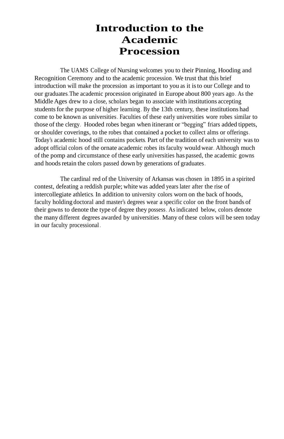# **Introduction to the Academic Procession**

The UAMS College of Nursing welcomes you to their Pinning, Hooding and Recognition Ceremony and to the academic procession . We trust that this brief introduction will make the procession as important to you as it isto our College and to our graduates.The academic procession originated in Europe about 800 years ago . As the Middle Ages drew to a close, scholars began to associate with institutions accepting students for the purpose of higher learning. By the 13th century, these institutions had come to be known as universities. Faculties of these early universities wore robes similar to those of the clergy. Hooded robes began when itinerant or "begging" friars added tippets, or shoulder coverings, to the robes that contained a pocket to collect alms or offerings. Today's academic hood still contains pockets. Part of the tradition of each university was to adopt official colors of the ornate academic robes itsfaculty would wear. Although much of the pomp and circumstance of these early universities has passed, the academic gowns and hoods retain the colors passed down by generations of graduates.

The cardinal red of the University of Arkansas was chosen in 1895 in a spirited contest, defeating a reddish purple; white was added years later after the rise of intercollegiate athletics. In addition to university colors worn on the back of hoods, faculty holding doctoral and master's degrees wear a specific color on the front bands of their gowns to denote the type of degree they possess. Asindicated below, colors denote the many different degrees awarded by universities. Many of these colors will be seen today in our faculty processional .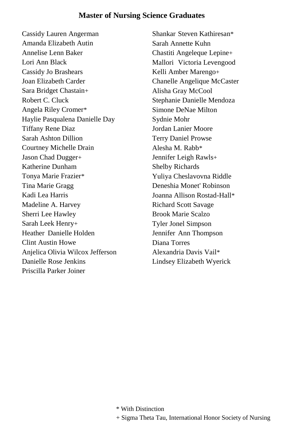#### **Master of Nursing Science Graduates**

Cassidy Lauren Angerman Amanda Elizabeth Autin Annelise Lenn Baker Lori Ann Black Cassidy Jo Brashears Joan Elizabeth Carder Sara Bridget Chastain+ Robert C. Cluck Angela Riley Cromer\* Haylie Pasqualena Danielle Day Tiffany Rene Diaz Sarah Ashton Dillion Courtney Michelle Drain Jason Chad Dugger+ Katherine Dunham Tonya Marie Frazier\* Tina Marie Gragg Kadi Lea Harris Madeline A. Harvey Sherri Lee Hawley Sarah Leek Henry+ Heather Danielle Holden Clint Austin Howe Anjelica Olivia Wilcox Jefferson Danielle Rose Jenkins Priscilla Parker Joiner

Shankar Steven Kathiresan\* Sarah Annette Kuhn Chastiti Angeleque Lepine+ Mallori Victoria Levengood Kelli Amber Marengo+ Chanelle Angelique McCaster Alisha Gray McCool Stephanie Danielle Mendoza Simone DeNae Milton Sydnie Mohr Jordan Lanier Moore Terry Daniel Prowse Alesha M. Rabb\* Jennifer Leigh Rawls+ Shelby Richards Yuliya Cheslavovna Riddle Deneshia Monet' Robinson Joanna Allison Rostad-Hall\* Richard Scott Savage Brook Marie Scalzo Tyler Jonel Simpson Jennifer Ann Thompson Diana Torres Alexandria Davis Vail\* Lindsey Elizabeth Wyerick

<sup>\*</sup> With Distinction

<sup>+</sup> Sigma Theta Tau, International Honor Society of Nursing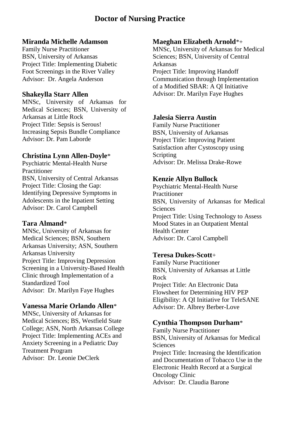# **Doctor of Nursing Practice**

#### **Miranda Michelle Adamson**

Family Nurse Practitioner BSN, University of Arkansas Project Title: Implementing Diabetic Foot Screenings in the River Valley Advisor: Dr. Angela Anderson

#### **Shakeylla Starr Allen**

MNSc, University of Arkansas for Medical Sciences; BSN, University of Arkansas at Little Rock Project Title: Sepsis is Serous! Increasing Sepsis Bundle Compliance Advisor: Dr. Pam Laborde

#### **Christina Lynn Allen-Doyle**\*

Psychiatric Mental-Health Nurse Practitioner BSN, University of Central Arkansas Project Title: Closing the Gap: Identifying Depressive Symptoms in Adolescents in the Inpatient Setting Advisor: Dr. Carol Campbell

#### **Tara Almand**\*

MNSc, University of Arkansas for Medical Sciences; BSN, Southern Arkansas University; ASN, Southern Arkansas University Project Title: Improving Depression Screening in a University-Based Health Clinic through Implementation of a Standardized Tool Advisor: Dr. Marilyn Faye Hughes

#### **Vanessa Marie Orlando Allen**\*

MNSc, University of Arkansas for Medical Sciences; BS, Westfield State College; ASN, North Arkansas College Project Title: Implementing ACEs and Anxiety Screening in a Pediatric Day Treatment Program Advisor: Dr. Leonie DeClerk

#### **Maeghan Elizabeth Arnold**\*+

MNSc, University of Arkansas for Medical Sciences; BSN, University of Central Arkansas

Project Title: Improving Handoff Communication through Implementation of a Modified SBAR: A QI Initiative Advisor: Dr. Marilyn Faye Hughes

### **Jalesia Sierra Austin**

Family Nurse Practitioner BSN, University of Arkansas Project Title: Improving Patient Satisfaction after Cystoscopy using Scripting Advisor: Dr. Melissa Drake-Rowe

### **Kenzie Allyn Bullock**

Psychiatric Mental-Health Nurse Practitioner BSN, University of Arkansas for Medical Sciences Project Title: Using Technology to Assess Mood States in an Outpatient Mental Health Center Advisor: Dr. Carol Campbell

# **Teresa Dukes-Scott**+

Family Nurse Practitioner BSN, University of Arkansas at Little Rock Project Title: An Electronic Data Flowsheet for Determining HIV PEP Eligibility: A QI Initiative for TeleSANE Advisor: Dr. Albrey Berber-Love

# **Cynthia Thompson Durham**\*

Family Nurse Practitioner BSN, University of Arkansas for Medical Sciences Project Title: Increasing the Identification and Documentation of Tobacco Use in the Electronic Health Record at a Surgical Oncology Clinic Advisor: Dr. Claudia Barone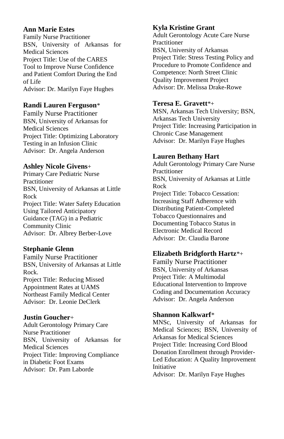#### **Ann Marie Estes**

Family Nurse Practitioner BSN, University of Arkansas for Medical Sciences Project Title: Use of the CARES Tool to Improve Nurse Confidence and Patient Comfort During the End of Life Advisor: Dr. Marilyn Faye Hughes

### **Randi Lauren Ferguson**\*

Family Nurse Practitioner BSN, University of Arkansas for Medical Sciences Project Title: Optimizing Laboratory Testing in an Infusion Clinic Advisor: Dr. Angela Anderson

### **Ashley Nicole Givens**+

Primary Care Pediatric Nurse **Practitioner** BSN, University of Arkansas at Little Rock Project Title: Water Safety Education Using Tailored Anticipatory Guidance (TAG) in a Pediatric Community Clinic Advisor: Dr. Albrey Berber-Love

#### **Stephanie Glenn**

Family Nurse Practitioner BSN, University of Arkansas at Little Rock. Project Title: Reducing Missed Appointment Rates at UAMS Northeast Family Medical Center Advisor: Dr. Leonie DeClerk

# **Justin Goucher**+

Adult Gerontology Primary Care Nurse Practitioner BSN, University of Arkansas for Medical Sciences Project Title: Improving Compliance in Diabetic Foot Exams Advisor: Dr. Pam Laborde

# **Kyla Kristine Grant**

Adult Gerontology Acute Care Nurse Practitioner BSN, University of Arkansas Project Title: Stress Testing Policy and Procedure to Promote Confidence and Competence: North Street Clinic Quality Improvement Project Advisor: Dr. Melissa Drake-Rowe

# **Teresa E. Gravett**\*+

MSN, Arkansas Tech University; BSN, Arkansas Tech University Project Title: Increasing Participation in Chronic Case Management Advisor: Dr. Marilyn Faye Hughes

### **Lauren Bethany Hart**

Adult Gerontology Primary Care Nurse Practitioner BSN, University of Arkansas at Little Rock Project Title: Tobacco Cessation: Increasing Staff Adherence with Distributing Patient-Completed Tobacco Questionnaires and Documenting Tobacco Status in Electronic Medical Record Advisor: Dr. Claudia Barone

# **Elizabeth Bridgforth Hartz**\*+

Family Nurse Practitioner BSN, University of Arkansas Project Title: A Multimodal Educational Intervention to Improve Coding and Documentation Accuracy Advisor: Dr. Angela Anderson

#### **Shannon Kalkwarf**\*

MNSc, University of Arkansas for Medical Sciences; BSN, University of Arkansas for Medical Sciences Project Title: Increasing Cord Blood Donation Enrollment through Provider-Led Education: A Quality Improvement Initiative Advisor: Dr. Marilyn Faye Hughes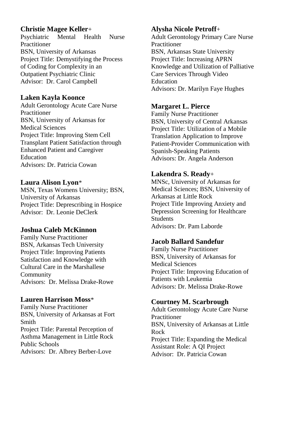### **Christie Magee Keller**+

Psychiatric Mental Health Nurse Practitioner BSN, University of Arkansas Project Title: Demystifying the Process of Coding for Complexity in an Outpatient Psychiatric Clinic Advisor: Dr. Carol Campbell

### **Laken Kayla Koonce**

Adult Gerontology Acute Care Nurse Practitioner BSN, University of Arkansas for Medical Sciences Project Title: Improving Stem Cell Transplant Patient Satisfaction through Enhanced Patient and Caregiver Education Advisors: Dr. Patricia Cowan

### **Laura Alison Lyon**\*

MSN, Texas Womens University; BSN, University of Arkansas Project Title: Deprescribing in Hospice Advisor: Dr. Leonie DeClerk

# **Joshua Caleb McKinnon**

Family Nurse Practitioner BSN, Arkansas Tech University Project Title: Improving Patients Satisfaction and Knowledge with Cultural Care in the Marshallese Community Advisors: Dr. Melissa Drake-Rowe

# **Lauren Harrison Moss**\*

Family Nurse Practitioner BSN, University of Arkansas at Fort Smith Project Title: Parental Perception of Asthma Management in Little Rock Public Schools Advisors: Dr. Albrey Berber-Love

# **Alysha Nicole Petroff**+

Adult Gerontology Primary Care Nurse Practitioner BSN, Arkansas State University Project Title: Increasing APRN Knowledge and Utilization of Palliative Care Services Through Video Education Advisors: Dr. Marilyn Faye Hughes

# **Margaret L. Pierce**

Family Nurse Practitioner BSN, University of Central Arkansas Project Title: Utilization of a Mobile Translation Application to Improve Patient-Provider Communication with Spanish-Speaking Patients Advisors: Dr. Angela Anderson

# **Lakendra S. Ready**+

MNSc, University of Arkansas for Medical Sciences; BSN, University of Arkansas at Little Rock Project Title Improving Anxiety and Depression Screening for Healthcare Students Advisors: Dr. Pam Laborde

# **Jacob Ballard Sandefur**

Family Nurse Practitioner BSN, University of Arkansas for Medical Sciences Project Title: Improving Education of Patients with Leukemia Advisors: Dr. Melissa Drake-Rowe

# **Courtney M. Scarbrough**

Adult Gerontology Acute Care Nurse Practitioner BSN, University of Arkansas at Little Rock Project Title: Expanding the Medical Assistant Role: A QI Project Advisor: Dr. Patricia Cowan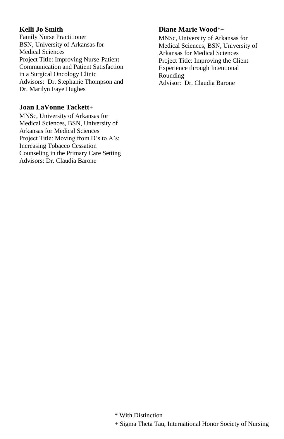### **Kelli Jo Smith**

Family Nurse Practitioner BSN, University of Arkansas for Medical Sciences Project Title: Improving Nurse-Patient Communication and Patient Satisfaction in a Surgical Oncology Clinic Advisors: Dr. Stephanie Thompson and Dr. Marilyn Faye Hughes

### **Joan LaVonne Tackett**+

MNSc, University of Arkansas for Medical Sciences, BSN, University of Arkansas for Medical Sciences Project Title: Moving from D's to A's: Increasing Tobacco Cessation Counseling in the Primary Care Setting Advisors: Dr. Claudia Barone

# **Diane Marie Wood**\*+

MNSc, University of Arkansas for Medical Sciences; BSN, University of Arkansas for Medical Sciences Project Title: Improving the Client Experience through Intentional Rounding Advisor: Dr. Claudia Barone

\* With Distinction

+ Sigma Theta Tau, International Honor Society of Nursing